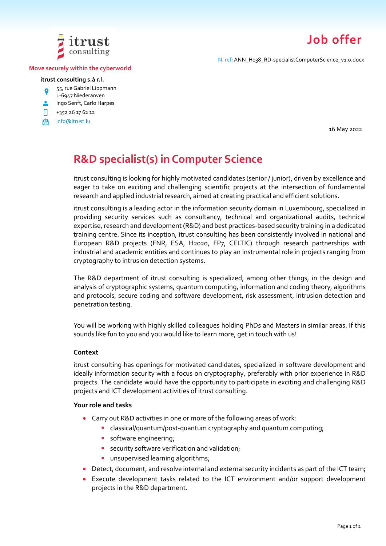

# **Job offer**

N. ref: ANN\_H038\_RD-specialistComputerScience\_v1.0.docx

#### **Move securely within the cyberworld**

#### **itrust consulting s.à r.l.**

- 55, rue Gabriel Lippmann  $\bullet$
- L-6947 Niederanven
- **Ingo Senft, Carlo Harpes**
- n +352 26 17 62 12
- [info@itrust.lu](mailto:info@itrust.lu)இ

16 May 2022

# **R&D specialist(s) in Computer Science**

itrust consulting is looking for highly motivated candidates (senior / junior), driven by excellence and eager to take on exciting and challenging scientific projects at the intersection of fundamental research and applied industrial research, aimed at creating practical and efficient solutions.

itrust consulting is a leading actor in the information security domain in Luxembourg, specialized in providing security services such as consultancy, technical and organizational audits, technical expertise, research and development (R&D) and best practices-based security training in a dedicated training centre. Since its inception, itrust consulting has been consistently involved in national and European R&D projects (FNR, ESA, H2020, FP7, CELTIC) through research partnerships with industrial and academic entities and continues to play an instrumental role in projects ranging from cryptography to intrusion detection systems.

The R&D department of itrust consulting is specialized, among other things, in the design and analysis of cryptographic systems, quantum computing, information and coding theory, algorithms and protocols, secure coding and software development, risk assessment, intrusion detection and penetration testing.

You will be working with highly skilled colleagues holding PhDs and Masters in similar areas. If this sounds like fun to you and you would like to learn more, get in touch with us!

#### **Context**

itrust consulting has openings for motivated candidates, specialized in software development and ideally information security with a focus on cryptography, preferably with prior experience in R&D projects. The candidate would have the opportunity to participate in exciting and challenging R&D projects and ICT development activities of itrust consulting.

#### **Your role and tasks**

- Carry out R&D activities in one or more of the following areas of work:
	- **•** classical/quantum/post-quantum cryptography and quantum computing;
	- **·** software engineering;
	- **E** security software verification and validation;
	- **·** unsupervised learning algorithms;
- Detect, document, and resolve internal and external security incidents as part of the ICT team;
- Execute development tasks related to the ICT environment and/or support development projects in the R&D department.